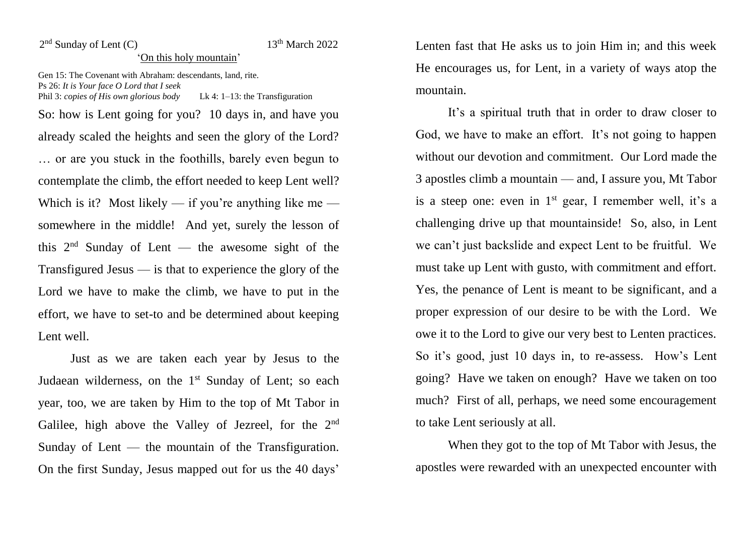## 2<sup>nd</sup> Sunday of Lent (C) 13

## $13<sup>th</sup>$  March 2022

## 'On this holy mountain'

Gen 15: The Covenant with Abraham: descendants, land, rite. Ps 26: *It is Your face O Lord that I seek* Phil 3: *copies of His own glorious body* Lk 4: 1–13: the Transfiguration

So: how is Lent going for you? 10 days in, and have you already scaled the heights and seen the glory of the Lord? … or are you stuck in the foothills, barely even begun to contemplate the climb, the effort needed to keep Lent well? Which is it? Most likely — if you're anything like me somewhere in the middle! And yet, surely the lesson of this  $2<sup>nd</sup>$  Sunday of Lent — the awesome sight of the Transfigured Jesus — is that to experience the glory of the Lord we have to make the climb, we have to put in the effort, we have to set-to and be determined about keeping Lent well.

Just as we are taken each year by Jesus to the Judaean wilderness, on the 1<sup>st</sup> Sunday of Lent; so each year, too, we are taken by Him to the top of Mt Tabor in Galilee, high above the Valley of Jezreel, for the 2<sup>nd</sup> Sunday of Lent — the mountain of the Transfiguration. On the first Sunday, Jesus mapped out for us the 40 days'

Lenten fast that He asks us to join Him in; and this week He encourages us, for Lent, in a variety of ways atop the mountain.

It's a spiritual truth that in order to draw closer to God, we have to make an effort. It's not going to happen without our devotion and commitment. Our Lord made the 3 apostles climb a mountain — and, I assure you, Mt Tabor is a steep one: even in  $1<sup>st</sup>$  gear, I remember well, it's a challenging drive up that mountainside! So, also, in Lent we can't just backslide and expect Lent to be fruitful. We must take up Lent with gusto, with commitment and effort. Yes, the penance of Lent is meant to be significant, and a proper expression of our desire to be with the Lord. We owe it to the Lord to give our very best to Lenten practices. So it's good, just 10 days in, to re-assess. How's Lent going? Have we taken on enough? Have we taken on too much? First of all, perhaps, we need some encouragement to take Lent seriously at all.

When they got to the top of Mt Tabor with Jesus, the apostles were rewarded with an unexpected encounter with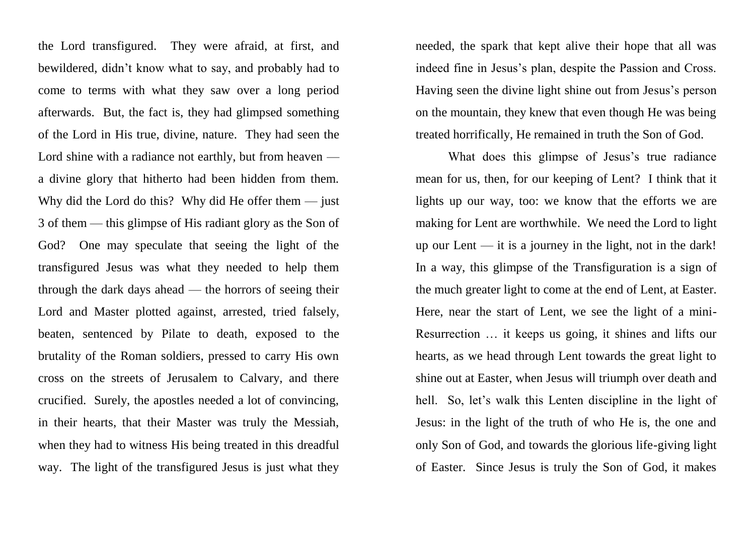the Lord transfigured. They were afraid, at first, and bewildered, didn't know what to say, and probably had to come to terms with what they saw over a long period afterwards. But, the fact is, they had glimpsed something of the Lord in His true, divine, nature. They had seen the Lord shine with a radiance not earthly, but from heaven a divine glory that hitherto had been hidden from them. Why did the Lord do this? Why did He offer them  $-$  just 3 of them — this glimpse of His radiant glory as the Son of God? One may speculate that seeing the light of the transfigured Jesus was what they needed to help them through the dark days ahead — the horrors of seeing their Lord and Master plotted against, arrested, tried falsely, beaten, sentenced by Pilate to death, exposed to the brutality of the Roman soldiers, pressed to carry His own cross on the streets of Jerusalem to Calvary, and there crucified. Surely, the apostles needed a lot of convincing, in their hearts, that their Master was truly the Messiah, when they had to witness His being treated in this dreadful way. The light of the transfigured Jesus is just what they

needed, the spark that kept alive their hope that all was indeed fine in Jesus's plan, despite the Passion and Cross. Having seen the divine light shine out from Jesus's person on the mountain, they knew that even though He was being treated horrifically, He remained in truth the Son of God.

What does this glimpse of Jesus's true radiance mean for us, then, for our keeping of Lent? I think that it lights up our way, too: we know that the efforts we are making for Lent are worthwhile. We need the Lord to light up our Lent — it is a journey in the light, not in the dark! In a way, this glimpse of the Transfiguration is a sign of the much greater light to come at the end of Lent, at Easter. Here, near the start of Lent, we see the light of a mini-Resurrection … it keeps us going, it shines and lifts our hearts, as we head through Lent towards the great light to shine out at Easter, when Jesus will triumph over death and hell. So, let's walk this Lenten discipline in the light of Jesus: in the light of the truth of who He is, the one and only Son of God, and towards the glorious life-giving light of Easter. Since Jesus is truly the Son of God, it makes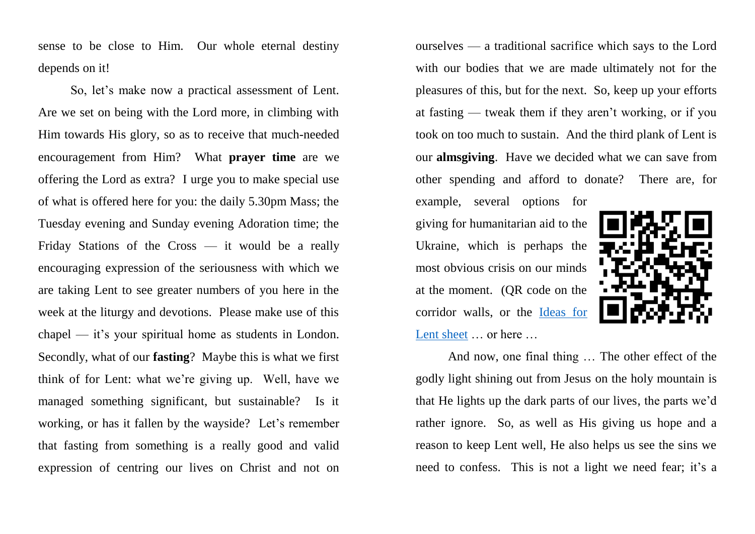sense to be close to Him. Our whole eternal destiny depends on it!

So, let's make now a practical assessment of Lent. Are we set on being with the Lord more, in climbing with Him towards His glory, so as to receive that much-needed encouragement from Him? What **prayer time** are we offering the Lord as extra? I urge you to make special use of what is offered here for you: the daily 5.30pm Mass; the Tuesday evening and Sunday evening Adoration time; the Friday Stations of the Cross — it would be a really encouraging expression of the seriousness with which we are taking Lent to see greater numbers of you here in the week at the liturgy and devotions. Please make use of this chapel — it's your spiritual home as students in London. Secondly, what of our **fasting**? Maybe this is what we first think of for Lent: what we're giving up. Well, have we managed something significant, but sustainable? Is it working, or has it fallen by the wayside? Let's remember that fasting from something is a really good and valid expression of centring our lives on Christ and not on

ourselves — a traditional sacrifice which says to the Lord with our bodies that we are made ultimately not for the pleasures of this, but for the next. So, keep up your efforts at fasting — tweak them if they aren't working, or if you took on too much to sustain. And the third plank of Lent is our **almsgiving**. Have we decided what we can save from other spending and afford to donate? There are, for

example, several options for giving for humanitarian aid to the Ukraine, which is perhaps the most obvious crisis on our minds at the moment. (QR code on the corridor walls, or the [Ideas for](https://www.universitycatholic.net/wp-content/uploads/2022/03/ideas-for-lent-2022.pdf)  [Lent sheet](https://www.universitycatholic.net/wp-content/uploads/2022/03/ideas-for-lent-2022.pdf) ... or here ...



And now, one final thing … The other effect of the godly light shining out from Jesus on the holy mountain is that He lights up the dark parts of our lives, the parts we'd rather ignore. So, as well as His giving us hope and a reason to keep Lent well, He also helps us see the sins we need to confess. This is not a light we need fear; it's a